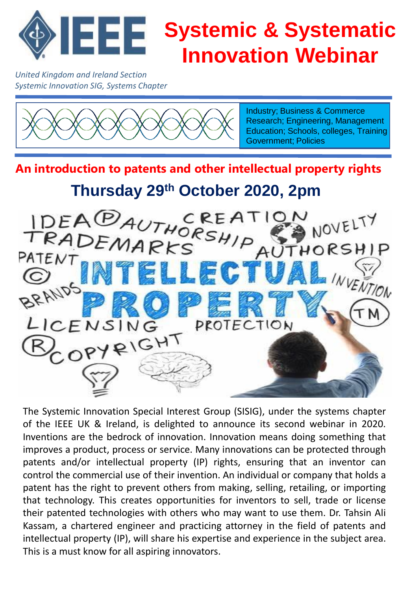

*United Kingdom and Ireland Section Systemic Innovation SIG, Systems Chapter*



Industry; Business & Commerce Research; Engineering, Management Education; Schools, colleges, Training Government; Policies

**An introduction to patents and other intellectual property rights Thursday 29th October 2020, 2pm**



The Systemic Innovation Special Interest Group (SISIG), under the systems chapter of the IEEE UK & Ireland, is delighted to announce its second webinar in 2020. Inventions are the bedrock of innovation. Innovation means doing something that improves a product, process or service. Many innovations can be protected through patents and/or intellectual property (IP) rights, ensuring that an inventor can control the commercial use of their invention. An individual or company that holds a patent has the right to prevent others from making, selling, retailing, or importing that technology. This creates opportunities for inventors to sell, trade or license their patented technologies with others who may want to use them. Dr. Tahsin Ali Kassam, a chartered engineer and practicing attorney in the field of patents and intellectual property (IP), will share his expertise and experience in the subject area. This is a must know for all aspiring innovators.